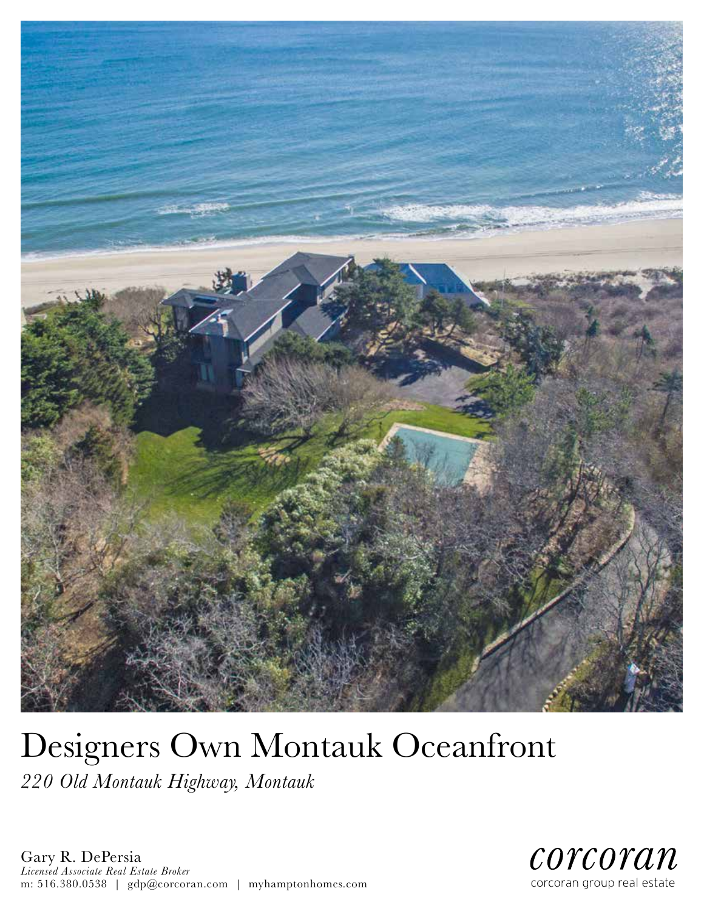

# Designers Own Montauk Oceanfront

*220 Old Montauk Highway, Montauk*

Gary R. DePersia *Licensed Associate Real Estate Broker* m: 516.380.0538 | gdp@corcoran.com | myhamptonhomes.com

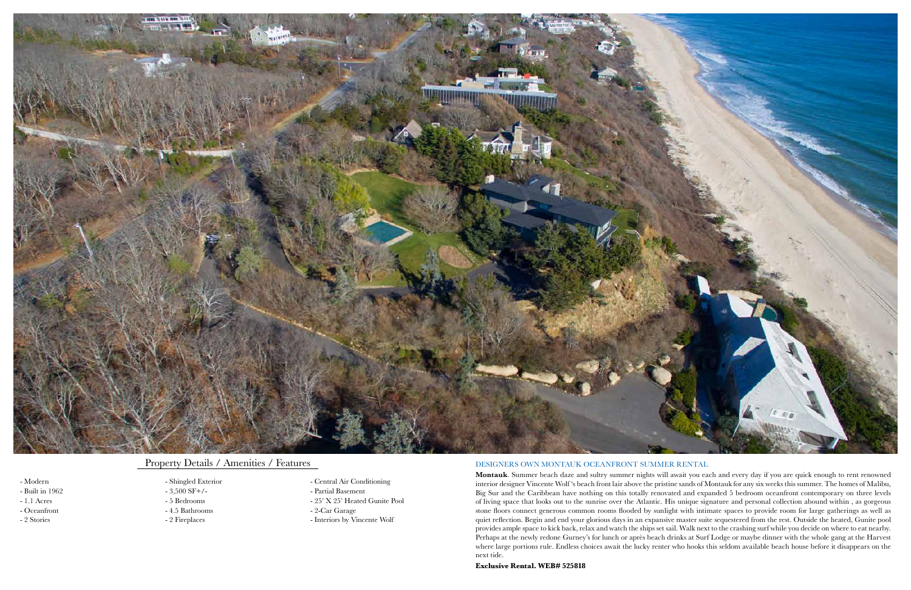## Property Details / Amenities / Features



### - Modern

- Built in 1962
- 1.1 Acres
- Oceanfront
- 2 Stories
- Shingled Exterior
- 3,500 SF+/-
- 5 Bedrooms
- 4.5 Bathrooms - 2 Fireplaces
- Central Air Conditioning
- Partial Basement
- 25' X 25' Heated Gunite Pool
- 2-Car Garage
- Interiors by Vincente Wolf

### DESIGNERS OWN MONTAUK OCEANFRONT SUMMER RENTAL

**Montauk**. Summer beach daze and sultry summer nights will await you each and every day if you are quick enough to rent renowned interior designer Vincente Wolf 's beach front lair above the pristine sands of Montauk for any six weeks this summer. The homes of Malibu, Big Sur and the Caribbean have nothing on this totally renovated and expanded 5 bedroom oceanfront contemporary on three levels of living space that looks out to the sunrise over the Atlantic. His unique signature and personal collection abound within , as gorgeous stone floors connect generous common rooms flooded by sunlight with intimate spaces to provide room for large gatherings as well as quiet reflection. Begin and end your glorious days in an expansive master suite sequestered from the rest. Outside the heated, Gunite pool provides ample space to kick back, relax and watch the ships set sail. Walk next to the crashing surf while you decide on where to eat nearby. Perhaps at the newly redone Gurney's for lunch or après beach drinks at Surf Lodge or maybe dinner with the whole gang at the Harvest where large portions rule. Endless choices await the lucky renter who hooks this seldom available beach house before it disappears on the next tide.

**Exclusive Rental. WEB# 525818**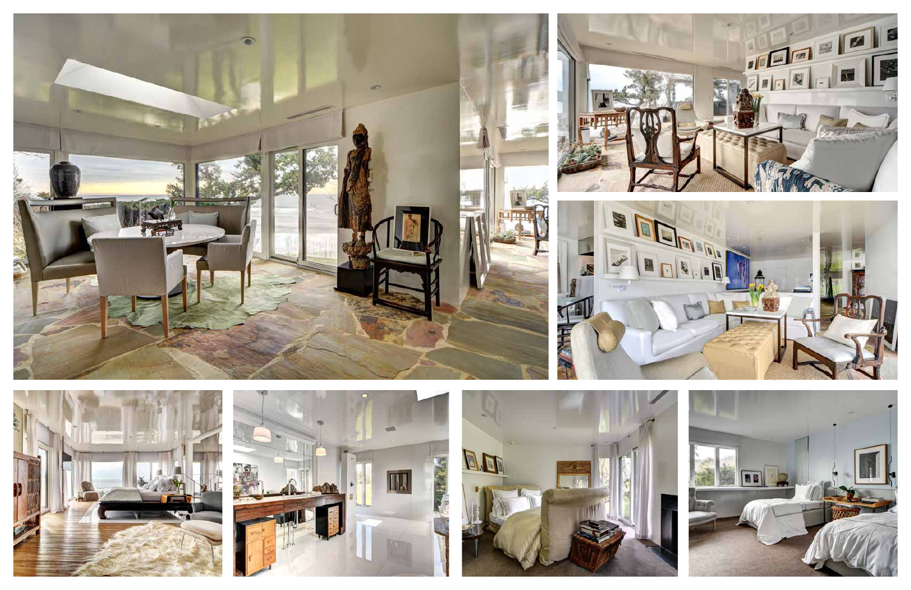







**RES** 





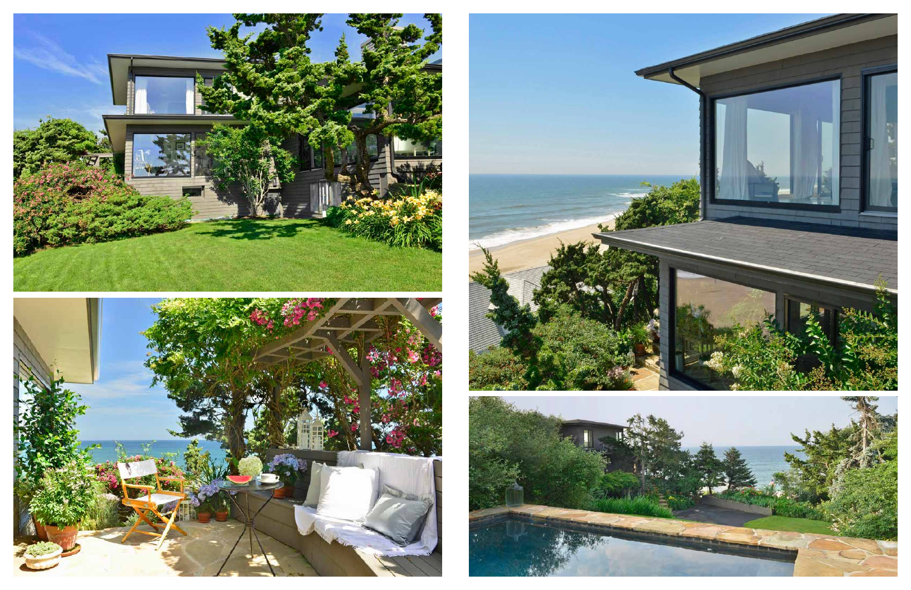